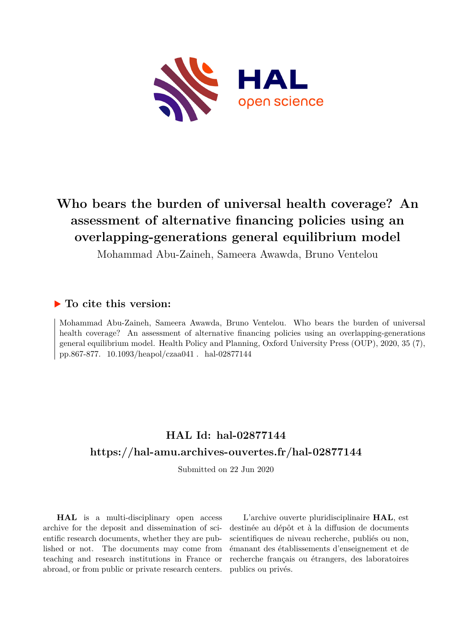

# **Who bears the burden of universal health coverage? An assessment of alternative financing policies using an overlapping-generations general equilibrium model**

Mohammad Abu-Zaineh, Sameera Awawda, Bruno Ventelou

## **To cite this version:**

Mohammad Abu-Zaineh, Sameera Awawda, Bruno Ventelou. Who bears the burden of universal health coverage? An assessment of alternative financing policies using an overlapping-generations general equilibrium model. Health Policy and Planning, Oxford University Press (OUP), 2020, 35 (7), pp.867-877. 10.1093/heapol/czaa041 . hal-02877144

## **HAL Id: hal-02877144 <https://hal-amu.archives-ouvertes.fr/hal-02877144>**

Submitted on 22 Jun 2020

**HAL** is a multi-disciplinary open access archive for the deposit and dissemination of scientific research documents, whether they are published or not. The documents may come from teaching and research institutions in France or abroad, or from public or private research centers.

L'archive ouverte pluridisciplinaire **HAL**, est destinée au dépôt et à la diffusion de documents scientifiques de niveau recherche, publiés ou non, émanant des établissements d'enseignement et de recherche français ou étrangers, des laboratoires publics ou privés.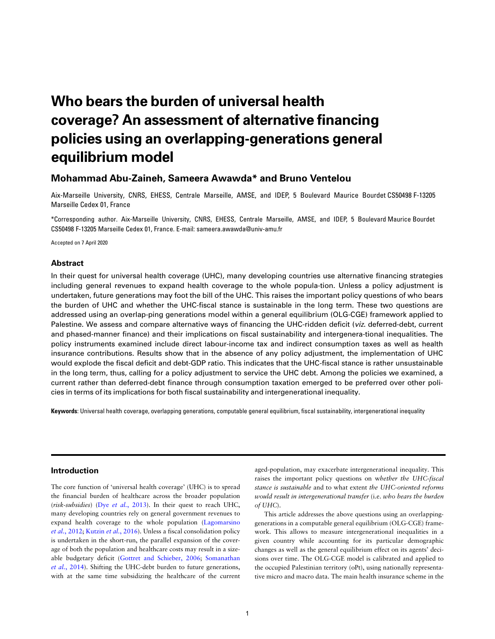## Who bears the burden of universal health coverage? An assessment of alternative financing policies using an overlapping-generations general equilibrium model

## Mohammad Abu-Zaineh, Sameera Awawda\* and Bruno Ventelou

Aix-Marseille University, CNRS, EHESS, Centrale Marseille, AMSE, and IDEP, 5 Boulevard Maurice Bourdet CS50498 F-13205 Marseille Cedex 01, France

\*Corresponding author. Aix-Marseille University, CNRS, EHESS, Centrale Marseille, AMSE, and IDEP, 5 Boulevard Maurice Bourdet CS50498 F-13205 Marseille Cedex 01, France. E-mail: sameera.awawda@univ-amu.fr

Accepted on 7 April 2020

### Abstract

In their quest for universal health coverage (UHC), many developing countries use alternative financing strategies including general revenues to expand health coverage to the whole popula-tion. Unless a policy adjustment is undertaken, future generations may foot the bill of the UHC. This raises the important policy questions of who bears the burden of UHC and whether the UHC-fiscal stance is sustainable in the long term. These two questions are addressed using an overlap-ping generations model within a general equilibrium (OLG-CGE) framework applied to Palestine. We assess and compare alternative ways of financing the UHC-ridden deficit (viz. deferred-debt, current and phased-manner finance) and their implications on fiscal sustainability and intergenera-tional inequalities. The policy instruments examined include direct labour-income tax and indirect consumption taxes as well as health insurance contributions. Results show that in the absence of any policy adjustment, the implementation of UHC would explode the fiscal deficit and debt-GDP ratio. This indicates that the UHC-fiscal stance is rather unsustainable in the long term, thus, calling for a policy adjustment to service the UHC debt. Among the policies we examined, a current rather than deferred-debt finance through consumption taxation emerged to be preferred over other policies in terms of its implications for both fiscal sustainability and intergenerational inequality.

Keywords: Universal health coverage, overlapping generations, computable general equilibrium, fiscal sustainability, intergenerational inequality

## Introduction

The core function of 'universal health coverage' (UHC) is to spread the financial burden of healthcare across the broader population (risk-subsidies) (Dye et al., 2013). In their quest to reach UHC, many developing countries rely on general government revenues to expand health coverage to the whole population (Lagomarsino et al., 2012; Kutzin et al., 2016). Unless a fiscal consolidation policy is undertaken in the short-run, the parallel expansion of the coverage of both the population and healthcare costs may result in a sizeable budgetary deficit (Gottret and Schieber, 2006; Somanathan et al., 2014). Shifting the UHC-debt burden to future generations, with at the same time subsidizing the healthcare of the current aged-population, may exacerbate intergenerational inequality. This raises the important policy questions on whether the UHC-fiscal stance is sustainable and to what extent the UHC-oriented reforms would result in intergenerational transfer (i.e. who bears the burden of UHC).

This article addresses the above questions using an overlappinggenerations in a computable general equilibrium (OLG-CGE) framework. This allows to measure intergenerational inequalities in a given country while accounting for its particular demographic changes as well as the general equilibrium effect on its agents' decisions over time. The OLG-CGE model is calibrated and applied to the occupied Palestinian territory (oPt), using nationally representative micro and macro data. The main health insurance scheme in the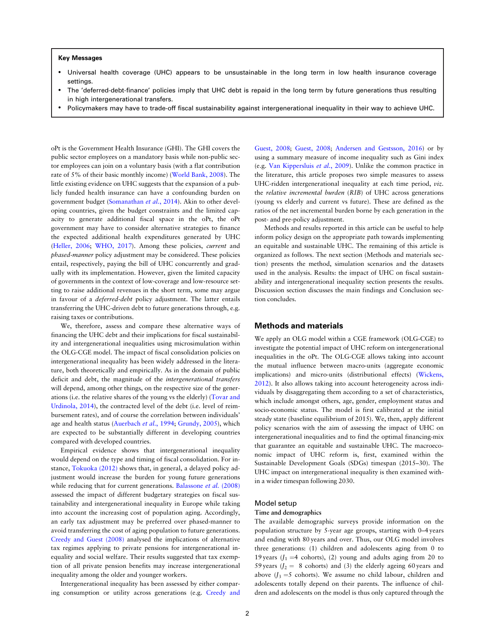#### Key Messages

- Universal health coverage (UHC) appears to be unsustainable in the long term in low health insurance coverage settings.
- The 'deferred-debt-finance' policies imply that UHC debt is repaid in the long term by future generations thus resulting in high intergenerational transfers.
- Policymakers may have to trade-off fiscal sustainability against intergenerational inequality in their way to achieve UHC.

oPt is the Government Health Insurance (GHI). The GHI covers the public sector employees on a mandatory basis while non-public sector employees can join on a voluntary basis (with a flat contribution rate of 5% of their basic monthly income) (World Bank, 2008). The little existing evidence on UHC suggests that the expansion of a publicly funded health insurance can have a confounding burden on government budget (Somanathan et al., 2014). Akin to other developing countries, given the budget constraints and the limited capacity to generate additional fiscal space in the oPt, the oPt government may have to consider alternative strategies to finance the expected additional health expenditures generated by UHC (Heller, 2006; WHO, 2017). Among these policies, current and phased-manner policy adjustment may be considered. These policies entail, respectively, paying the bill of UHC concurrently and gradually with its implementation. However, given the limited capacity of governments in the context of low-coverage and low-resource setting to raise additional revenues in the short term, some may argue in favour of a deferred-debt policy adjustment. The latter entails transferring the UHC-driven debt to future generations through, e.g. raising taxes or contributions.

We, therefore, assess and compare these alternative ways of financing the UHC debt and their implications for fiscal sustainability and intergenerational inequalities using microsimulation within the OLG-CGE model. The impact of fiscal consolidation policies on intergenerational inequality has been widely addressed in the literature, both theoretically and empirically. As in the domain of public deficit and debt, the magnitude of the intergenerational transfers will depend, among other things, on the respective size of the generations (i.e. the relative shares of the young vs the elderly) (Tovar and Urdinola, 2014), the contracted level of the debt (i.e. level of reimbursement rates), and of course the correlation between individuals' age and health status (Auerbach et al., 1994; Grundy, 2005), which are expected to be substantially different in developing countries compared with developed countries.

Empirical evidence shows that intergenerational inequality would depend on the type and timing of fiscal consolidation. For instance, Tokuoka (2012) shows that, in general, a delayed policy adjustment would increase the burden for young future generations while reducing that for current generations. Balassone *et al.* (2008) assessed the impact of different budgetary strategies on fiscal sustainability and intergenerational inequality in Europe while taking into account the increasing cost of population aging. Accordingly, an early tax adjustment may be preferred over phased-manner to avoid transferring the cost of aging population to future generations. Creedy and Guest (2008) analysed the implications of alternative tax regimes applying to private pensions for intergenerational inequality and social welfare. Their results suggested that tax exemption of all private pension benefits may increase intergenerational inequality among the older and younger workers.

Intergenerational inequality has been assessed by either comparing consumption or utility across generations (e.g. Creedy and

Guest, 2008; Guest, 2008; Andersen and Gestsson, 2016) or by using a summary measure of income inequality such as Gini index (e.g. Van Kippersluis et al., 2009). Unlike the common practice in the literature, this article proposes two simple measures to assess UHC-ridden intergenerational inequality at each time period, viz. the relative incremental burden (RIB) of UHC across generations (young vs elderly and current vs future). These are defined as the ratios of the net incremental burden borne by each generation in the post- and pre-policy adjustment.

Methods and results reported in this article can be useful to help inform policy design on the appropriate path towards implementing an equitable and sustainable UHC. The remaining of this article is organized as follows. The next section (Methods and materials section) presents the method, simulation scenarios and the datasets used in the analysis. Results: the impact of UHC on fiscal sustainability and intergenerational inequality section presents the results. Discussion section discusses the main findings and Conclusion section concludes.

### Methods and materials

We apply an OLG model within a CGE framework (OLG-CGE) to investigate the potential impact of UHC reform on intergenerational inequalities in the oPt. The OLG-CGE allows taking into account the mutual influence between macro-units (aggregate economic implications) and micro-units (distributional effects) (Wickens, 2012). It also allows taking into account heterogeneity across individuals by disaggregating them according to a set of characteristics, which include amongst others, age, gender, employment status and socio-economic status. The model is first calibrated at the initial steady state (baseline equilibrium of 2015). We, then, apply different policy scenarios with the aim of assessing the impact of UHC on intergenerational inequalities and to find the optimal financing-mix that guarantee an equitable and sustainable UHC. The macroeconomic impact of UHC reform is, first, examined within the Sustainable Development Goals (SDGs) timespan (2015–30). The UHC impact on intergenerational inequality is then examined within a wider timespan following 2030.

#### Model setup

#### Time and demographics

The available demographic surveys provide information on the population structure by 5-year age groups, starting with 0–4 years and ending with 80 years and over. Thus, our OLG model involves three generations: (1) children and adolescents aging from 0 to 19 years ( $J_1$  =4 cohorts), (2) young and adults aging from 20 to 59 years ( $J_2 = 8$  cohorts) and (3) the elderly ageing 60 years and above  $(I_3 = 5$  cohorts). We assume no child labour, children and adolescents totally depend on their parents. The influence of children and adolescents on the model is thus only captured through the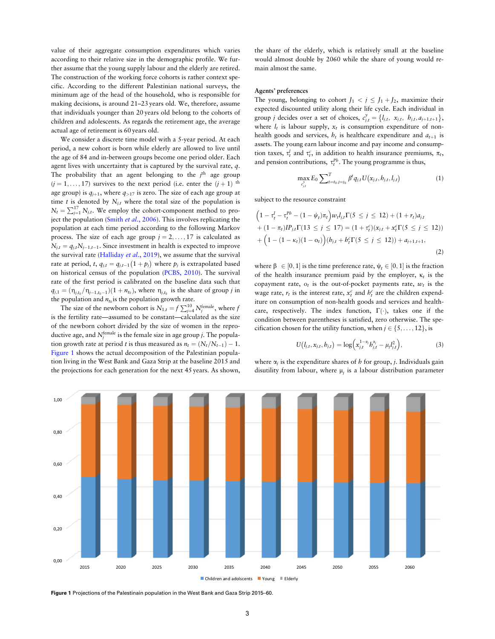value of their aggregate consumption expenditures which varies according to their relative size in the demographic profile. We further assume that the young supply labour and the elderly are retired. The construction of the working force cohorts is rather context specific. According to the different Palestinian national surveys, the minimum age of the head of the household, who is responsible for making decisions, is around 21–23 years old. We, therefore, assume that individuals younger than 20 years old belong to the cohorts of children and adolescents. As regards the retirement age, the average actual age of retirement is 60 years old.

We consider a discrete time model with a 5-year period. At each period, a new cohort is born while elderly are allowed to live until the age of 84 and in-between groups become one period older. Each agent lives with uncertainty that is captured by the survival rate, q. The probability that an agent belonging to the  $j<sup>th</sup>$  age group  $(j = 1, \ldots, 17)$  survives to the next period (i.e. enter the  $(j + 1)$ <sup>th</sup> age group) is  $q_{j+1}$ , where  $q_{>17}$  is zero. The size of each age group at time t is denoted by  $N_{j,t}$  where the total size of the population is  $N_t = \sum_{j=1}^{17} N_{j,t}$ . We employ the cohort-component method to project the population (Smith et al., 2006). This involves replicating the population at each time period according to the following Markov process. The size of each age group  $j = 2, \ldots, 17$  is calculated as  $N_{j,t} = q_{j,t} N_{j-1,t-1}$ . Since investment in health is expected to improve the survival rate (Halliday et al., 2019), we assume that the survival rate at period,  $t, q_{j,t} = q_{j,t-1}(1+p_j)$  where  $p_j$  is extrapolated based on historical census of the population (PCBS, 2010). The survival rate of the first period is calibrated on the baseline data such that  $q_{j,1} = (\eta_{j,t_0}/\eta_{j-1,t_0-1})(1 + n_{t_0})$ , where  $\eta_{j,t_0}$  is the share of group j in the population and  $n_{t_0}$  is the population growth rate.

The size of the newborn cohort is  $N_{1,t} = f \sum_{j=4}^{10} N_j^{\text{female}}$ , where f is the fertility rate—assumed to be constant—calculated as the size of the newborn cohort divided by the size of women in the reproductive age, and  $N_f^{\text{female}}$  is the female size in age group *j*. The population growth rate at period t is thus measured as  $n_t = (N_t/N_{t-1}) - 1$ . Figure 1 shows the actual decomposition of the Palestinian population living in the West Bank and Gaza Strip at the baseline 2015 and the projections for each generation for the next 45 years. As shown,

the share of the elderly, which is relatively small at the baseline would almost double by 2060 while the share of young would remain almost the same.

#### Agents' preferences

The young, belonging to cohort  $J_1 < j < J_1 + J_2$ , maximize their expected discounted utility along their life cycle. Each individual in group *j* decides over a set of choices,  $c_{j,t}^y = \{l_{j,t}, x_{j,t}, b_{j,t}, a_{j+1,t+1}\}$ , where  $l_t$  is labour supply,  $x_t$  is consumption expenditure of nonhealth goods and services,  $h_t$  is healthcare expenditure and  $a_{t+1}$  is assets. The young earn labour income and pay income and consumption taxes,  $\tau_t^l$  and  $\tau_t^c$ , in addition to health insurance premiums,  $\pi_t$ , and pension contributions,  $\tau_t^{Ph}$ . The young programme is thus,

$$
\max_{c_{j,t}^y} E_0 \sum_{t=t_0, j=j_0}^T \beta^t q_{j,t} U(x_{j,t}, b_{j,t}, l_{j,t})
$$
 (1)

subject to the resource constraint

$$
\left(1 - \tau_t^l - \tau_t^{Pb} - (1 - \psi_t)\pi_t\right)w_t l_{j,t} \Gamma(5 \le j \le 12) + (1 + r_t)a_{j,t} + (1 - \pi_t)IP_{j,t} \Gamma(13 \le j \le 17) = (1 + \tau_t^c)(x_{j,t} + x_t^c \Gamma(5 \le j \le 12)) + \left(1 - (1 - \kappa_t)(1 - o_t)\right)(b_{j,t} + b_t^c \Gamma(5 \le j \le 12)) + a_{j+1,t+1},
$$
\n(2)

where  $\beta \in [0, 1]$  is the time preference rate,  $\psi_t \in [0, 1]$  is the fraction of the health insurance premium paid by the employer,  $\kappa_t$  is the copayment rate,  $o_t$  is the out-of-pocket payments rate,  $w_t$  is the wage rate,  $r_t$  is the interest rate,  $x_t^c$  and  $h_t^c$  are the children expenditure on consumption of non-health goods and services and healthcare, respectively. The index function,  $\Gamma(\cdot)$ , takes one if the condition between parentheses is satisfied, zero otherwise. The specification chosen for the utility function, when  $j \in \{5, \ldots, 12\}$ , is

$$
U(l_{j,t}, x_{j,t}, b_{j,t}) = \log \Bigl( x_{j,t}^{1-\alpha_j} b_{j,t}^{\alpha_j} - \mu_j l_{j,t}^2 \Bigr), \tag{3}
$$

where  $\alpha_i$  is the expenditure shares of h for group, j. Individuals gain disutility from labour, where  $\mu_i$  is a labour distribution parameter



Figure 1 Projections of the Palestinain population in the West Bank and Gaza Strip 2015–60.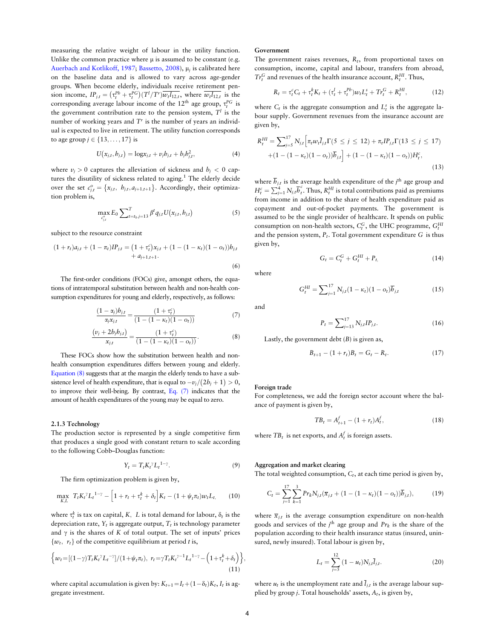measuring the relative weight of labour in the utility function. Unlike the common practice where  $\mu$  is assumed to be constant (e.g. Auerbach and Kotlikoff, 1987; Bassetto, 2008),  $\mu$  is calibrated here on the baseline data and is allowed to vary across age-gender groups. When become elderly, individuals receive retirement pension income,  $IP_{j,t} = (\tau_t^{Pb} + \tau_t^{PG})(T'/T')\overline{w_t l_{12,t}}$ , where  $\overline{w_t l_{12,t}}$  is the corresponding average labour income of the  $12<sup>th</sup>$  age group,  $\tau_t^{PG}$  is the government contribution rate to the pension system,  $T<sup>l</sup>$  is the number of working years and  $T<sup>r</sup>$  is the number of years an individual is expected to live in retirement. The utility function corresponds to age group  $j \in \{13, \ldots, 17\}$  is

$$
U(x_{j,t}, b_{j,t}) = \log x_{j,t} + v_j b_{j,t} + b_j b_{j,t}^2,
$$
\n(4)

where  $v_i > 0$  captures the alleviation of sickness and  $b_i < 0$  captures the disutility of sickness related to aging.<sup>1</sup> The elderly decide over the set  $c_{j,t}^o = \{x_{j,t}, b_{j,t}, a_{j+1,t+1}\}\$ . Accordingly, their optimization problem is,

$$
\max_{c_{j,t}^o} E_0 \sum_{t=t_0, j=13}^T \beta^t q_{j,t} U(x_{j,t}, b_{j,t})
$$
 (5)

subject to the resource constraint

$$
(1 + r_t)a_{j,t} + (1 - \pi_t)IP_{j,t} = (1 + \tau_t^c)x_{j,t} + (1 - (1 - \kappa_t)(1 - o_t))b_{j,t} + a_{j+1,t+1}.
$$
\n
$$
(6)
$$

The first-order conditions (FOCs) give, amongst others, the equations of intratemporal substitution between health and non-health consumption expenditures for young and elderly, respectively, as follows:

$$
\frac{(1 - \alpha_j)h_{j,t}}{\alpha_j x_{j,t}} = \frac{(1 + \tau_t^c)}{(1 - (1 - \kappa_t)(1 - o_t))}
$$
(7)

$$
\frac{(v_i + 2b_j b_{j,t})}{x_{j,t}} = \frac{(1 + \tau_t^c)}{(1 - (1 - \kappa_t)(1 - o_t))}.
$$
 (8)

These FOCs show how the substitution between health and nonhealth consumption expenditures differs between young and elderly. Equation (8) suggests that at the margin the elderly tends to have a subsistence level of health expenditure, that is equal to  $-v_j/(2b_j + 1) > 0$ , to improve their well-being. By contrast, Eq. (7) indicates that the amount of health expenditures of the young may be equal to zero.

#### 2.1.3 Technology

The production sector is represented by a single competitive firm that produces a single good with constant return to scale according to the following Cobb–Douglas function:

$$
Y_t = T_t K_t^{\gamma} L_t^{1-\gamma}.
$$
\n<sup>(9)</sup>

The firm optimization problem is given by,

$$
\max_{K,L} T_t K_t^{\gamma} L_t^{1-\gamma} - \left[1 + r_t + \tau_t^k + \delta_t\right] K_t - (1 + \psi_t \pi_t) w_t L_t, \tag{10}
$$

where  $\tau_t^k$  is tax on capital, K, L is total demand for labour,  $\delta_t$  is the depreciation rate,  $Y_t$  is aggregate output,  $T_t$  is technology parameter and  $\gamma$  is the shares of K of total output. The set of inputs' prices  $\{w_t, r_t\}$  of the competitive equilibrium at period t is,

$$
\left\{w_t = \left[(1-\gamma)T_tK_t^{\gamma}L_t^{-\gamma}\right]/(1+\psi_t\pi_t), \ r_t = \gamma T_tK_t^{\gamma-1}L_t^{-1-\gamma} - \left(1 + \tau_t^k + \delta_t\right)\right\},\tag{11}
$$

where capital accumulation is given by:  $K_{t+1} = I_t + (1 - \delta_t)K_t$ ,  $I_t$  is aggregate investment.

#### Government

The government raises revenues,  $R_t$ , from proportional taxes on consumption, income, capital and labour, transfers from abroad,  $Tr_t^G$  and revenues of the health insurance account,  $R_t^{HI}$ . Thus,

$$
R_t = \tau_t^c C_t + \tau_t^k K_t + (\tau_t^l + \tau_t^{Pb}) w_t L_t^s + Tr_t^G + R_t^{HI}, \qquad (12)
$$

where  $C_t$  is the aggregate consumption and  $L_t^s$  is the aggregate labour supply. Government revenues from the insurance account are given by,

$$
R_t^{HI} = \sum_{j=5}^{17} N_{j,t} \Big[ \pi_t w_t \overline{l}_{j,t} \Gamma(5 \le j \le 12) + \pi_t IP_{j,t} \Gamma(13 \le j \le 17) + (1 - (1 - \kappa_t)(1 - o_t)) \overline{b}_{j,t} \Big] + (1 - (1 - \kappa_t)(1 - o_t)) H_t^c,
$$
\n(13)

where  $\overline{b}_{j,t}$  is the average health expenditure of the  $j^{\text{th}}$  age group and  $H_t^c = \sum_{j=1}^{j_*} N_{j,t} \overline{b}_t^c$ . Thus,  $R_t^{HI}$  is total contributions paid as premiums from income in addition to the share of health expenditure paid as copayment and out-of-pocket payments. The government is assumed to be the single provider of healthcare. It spends on public consumption on non-health sectors,  $C_t^G$ , the UHC programme,  $G_t^H$ and the pension system,  $P_t$ . Total government expenditure G is thus given by,

$$
G_t = C_t^G + G_t^{HI} + P_{t}, \t\t(14)
$$

where

and

$$
G_t^{HI} = \sum_{j=1}^{17} N_{j,t} (1 - \kappa_t)(1 - o_t) \overline{b}_{j,t}
$$
 (15)

$$
P_t = \sum_{j=13}^{17} N_{j,t} I P_{j,t}.
$$
 (16)

Lastly, the government debt  $(B)$  is given as,

$$
B_{t+1} - (1 + r_t)B_t = G_t - R_t.
$$
 (17)

#### Foreign trade

For completeness, we add the foreign sector account where the balance of payment is given by,

$$
TB_t = A_{t+1}^f - (1+r_t)A_t^f, \tag{18}
$$

where  $TB_t$  is net exports, and  $A_t^f$  is foreign assets.

#### Aggregation and market clearing

The total weighted consumption,  $C_t$ , at each time period is given by,

$$
C_t = \sum_{j=1}^{17} \sum_{k=1}^{3} Pr_k N_{j,t} (\overline{x}_{j,t} + (1 - (1 - \kappa_t)(1 - o_t))\overline{b}_{j,t}),
$$
(19)

where  $\overline{x}_{j,t}$  is the average consumption expenditure on non-health goods and services of the  $j<sup>th</sup>$  age group and  $Pr_k$  is the share of the population according to their health insurance status (insured, uninsured, newly insured). Total labour is given by,

$$
L_t = \sum_{j=5}^{12} (1 - u_t) N_{j,t} \bar{l}_{j,t}.
$$
 (20)

where  $u_t$  is the unemployment rate and  $\overline{l}_{i,t}$  is the average labour supplied by group *j*. Total households' assets,  $A_t$ , is given by,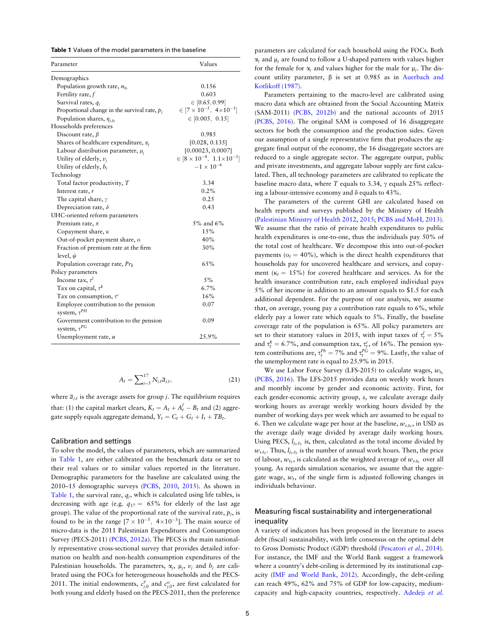| <b>Table 1</b> Values of the model parameters in the baseline |  |
|---------------------------------------------------------------|--|
|---------------------------------------------------------------|--|

| Parameter                                                     | Values                                       |
|---------------------------------------------------------------|----------------------------------------------|
| Demographics                                                  |                                              |
| Population growth rate, $n_{t_0}$                             | 0.156                                        |
| Fertility rate, f                                             | 0.603                                        |
| Survival rates, $q_i$                                         | $\in [0.65, 0.99]$                           |
| Proportional change in the survival rate, $p_i$               | $\in [7 \times 10^{-5}, 4 \times 10^{-3}]$   |
| Population shares, $\eta_{i,t_0}$                             | $\in [0.005, 0.15]$                          |
| Households preferences                                        |                                              |
| Discount rate, $\beta$                                        | 0.985                                        |
| Shares of healthcare expenditure, $\alpha_i$                  | [0.028, 0.135]                               |
| Labour distribution parameter, $\mu_i$                        | [0.00023, 0.0007]                            |
| Utility of elderly, $v_i$                                     | $\in [8 \times 10^{-4}, 1.1 \times 10^{-3}]$ |
| Utility of elderly, $b_i$                                     | $-1 \times 10^{-6}$                          |
| Technology                                                    |                                              |
| Total factor productivity, T                                  | 3.34                                         |
| Interest rate, r                                              | 0.2%                                         |
| The capital share, $\gamma$                                   | 0.25                                         |
| Depreciation rate, $\delta$                                   | 0.43                                         |
| UHC-oriented reform parameters                                |                                              |
| Premium rate, $\pi$                                           | 5% and 6%                                    |
| Copayment share, $\kappa$                                     | 15%                                          |
| Out-of-pocket payment share, o                                | 40%                                          |
| Fraction of premium rate at the firm                          | 30%                                          |
| level, $\psi$                                                 |                                              |
| Population coverage rate, $Pr_k$                              | 65%                                          |
| Policy parameters                                             |                                              |
| Income tax, $\tau^l$                                          | 5%                                           |
| Tax on capital, $\tau^k$                                      | 6.7%                                         |
| Tax on consumption, $\tau^c$                                  | 16%                                          |
| Employee contribution to the pension                          | 0.07                                         |
| system, $\tau^{PH}$                                           |                                              |
| Government contribution to the pension<br>system, $\tau^{PG}$ | 0.09                                         |
| Unemployment rate, u                                          | 25.9%                                        |

$$
A_t = \sum_{j=5}^{17} N_{j,t} \overline{a}_{j,t},
$$
 (21)

where  $\overline{a}_{j,t}$  is the average assets for group *j*. The equilibrium requires that: (1) the capital market clears,  $K_t = A_t + A_t^f - B_t$  and (2) aggregate supply equals aggregate demand,  $Y_t = C_t + G_t + I_t + T B_t$ .

### Calibration and settings

To solve the model, the values of parameters, which are summarized in Table 1, are either calibrated on the benchmark data or set to their real values or to similar values reported in the literature. Demographic parameters for the baseline are calculated using the 2010–15 demographic surveys (PCBS, 2010, 2015). As shown in Table 1, the survival rate,  $q_i$ , which is calculated using life tables, is decreasing with age (e.g.  $q_{17} = 65\%$  for elderly of the last age group). The value of the proportional rate of the survival rate,  $p_i$ , is found to be in the range  $[7 \times 10^{-5}, 4 \times 10^{-3}]$ . The main source of micro-data is the 2011 Palestinian Expenditures and Consumption Survey (PECS-2011) (PCBS, 2012a). The PECS is the main nationally representative cross-sectional survey that provides detailed information on health and non-health consumption expenditures of the Palestinian households. The parameters,  $\alpha_i$ ,  $\mu_i$ ,  $\nu_i$  and  $b_i$  are calibrated using the FOCs for heterogeneous households and the PECS-2011. The initial endowments,  $c_{j,0}^y$  and  $c_{j,0}^o$ , are first calculated for both young and elderly based on the PECS-2011, then the preference

parameters are calculated for each household using the FOCs. Both  $\alpha_i$  and  $\mu_i$  are found to follow a U-shaped pattern with values higher for the female for  $\alpha_i$  and values higher for the male for u. The discount utility parameter,  $\beta$  is set at 0.985 as in Auerbach and Kotlikoff (1987).

Parameters pertaining to the macro-level are calibrated using macro data which are obtained from the Social Accounting Matrix (SAM-2011) (PCBS, 2012b) and the national accounts of 2015 (PCBS, 2016). The original SAM is composed of 16 disaggregate sectors for both the consumption and the production sides. Given our assumption of a single representative firm that produces the aggregate final output of the economy, the 16 disaggregate sectors are reduced to a single aggregate sector. The aggregate output, public and private investments, and aggregate labour supply are first calculated. Then, all technology parameters are calibrated to replicate the baseline macro data, where T equals to 3.34,  $\gamma$  equals 25% reflecting a labour-intensive economy and  $\delta$  equals to 43%.

The parameters of the current GHI are calculated based on health reports and surveys published by the Ministry of Health (Palestinian Ministry of Health 2012, 2015; PCBS and MoH, 2013). We assume that the ratio of private health expenditures to public health expenditures is one-to-one, thus the individuals pay 50% of the total cost of healthcare. We decompose this into out-of-pocket payments ( $o_t = 40\%$ ), which is the direct health expenditures that households pay for uncovered healthcare and services, and copayment ( $\kappa_t = 15\%$ ) for covered healthcare and services. As for the health insurance contribution rate, each employed individual pays 5% of her income in addition to an amount equals to \$1.5 for each additional dependent. For the purpose of our analysis, we assume that, on average, young pay a contribution rate equals to 6%, while elderly pay a lower rate which equals to 5%. Finally, the baseline coverage rate of the population is 65%. All policy parameters are set to their statutory values in 2015, with input taxes of  $\tau_t^l = 5\%$ and  $\tau_t^k = 6.7\%$ , and consumption tax,  $\tau_t^c$ , of 16%. The pension system contributions are,  $\tau_t^{Ph} = 7\%$  and  $\tau_t^{PG} = 9\%$ . Lastly, the value of the unemployment rate is equal to 25.9% in 2015.

We use Labor Force Survey (LFS-2015) to calculate wages,  $w_{t_0}$ (PCBS, 2016). The LFS-2015 provides data on weekly work hours and monthly income by gender and economic activity. First, for each gender-economic activity group, s, we calculate average daily working hours as average weekly working hours divided by the number of working days per week which are assumed to be equal to 6. Then we calculate wage per hour at the baseline,  $w_{s,t_0}$ , in USD as the average daily wage divided by average daily working hours. Using PECS,  $l_{i_0,t_0}$  is, then, calculated as the total income divided by  $w_{s,t_0}$ . Thus,  $l_{i_0,t_0}$  is the number of annual work hours. Then, the price of labour,  $w_{t_0}$ , is calculated as the weighted average of  $w_{s,t_0}$  over all young. As regards simulation scenarios, we assume that the aggregate wage,  $w_t$ , of the single firm is adjusted following changes in individuals behaviour.

## Measuring fiscal sustainability and intergenerational inequality

A variety of indicators has been proposed in the literature to assess debt (fiscal) sustainability, with little consensus on the optimal debt to Gross Domistic Product (GDP) threshold (Pescatori et al., 2014). For instance, the IMF and the World Bank suggest a framework where a country's debt-ceiling is determined by its institutional capacity (IMF and World Bank, 2012). Accordingly, the debt-ceiling can reach 49%, 62% and 75% of GDP for low-capacity, mediumcapacity and high-capacity countries, respectively. Adedeji et al.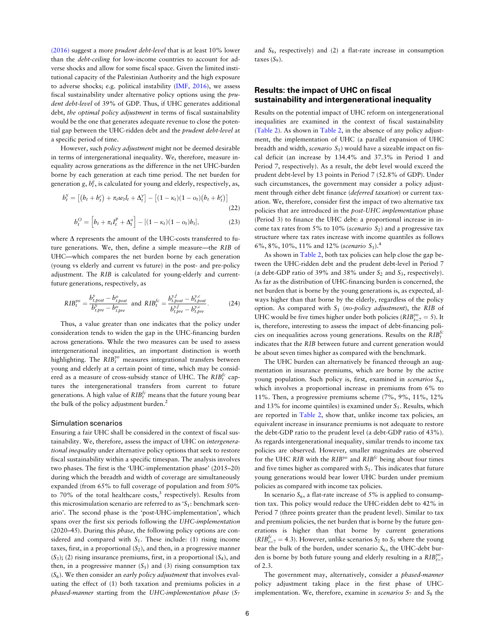(2016) suggest a more prudent debt-level that is at least 10% lower than the debt-ceiling for low-income countries to account for adverse shocks and allow for some fiscal space. Given the limited institutional capacity of the Palestinian Authority and the high exposure to adverse shocks; e.g. political instability (IMF, 2016), we assess fiscal sustainability under alternative policy options using the prudent debt-level of 39% of GDP. Thus, if UHC generates additional debt, the optimal policy adjustment in terms of fiscal sustainability would be the one that generates adequate revenue to close the potential gap between the UHC-ridden debt and the prudent debt-level at a specific period of time.

However, such policy adjustment might not be deemed desirable in terms of intergenerational inequality. We, therefore, measure inequality across generations as the difference in the net UHC-burden borne by each generation at each time period. The net burden for generation g,  $b_t^g$ , is calculated for young and elderly, respectively, as,

$$
b_t^y = [(b_t + b_t^c) + \pi_t w_t l_t + \Delta_t^y] - [(1 - \kappa_t)(1 - o_t)(b_t + b_t^c)]
$$
\n(22)

$$
b_t^{\circ} = \left[ h_t + \pi_t I_t^P + \Delta_t^{\circ} \right] - \left[ (1 - \kappa_t)(1 - o_t) h_t \right], \tag{23}
$$

where  $\Delta$  represents the amount of the UHC-costs transferred to future generations. We, then, define a simple measure—the RIB of UHC—which compares the net burden borne by each generation (young vs elderly and current vs future) in the post- and pre-policy adjustment. The RIB is calculated for young-elderly and currentfuture generations, respectively, as

$$
RIB_t^{yo} = \frac{b_{t,post}^y - b_{t,post}^o}{b_{t,pre}^y - b_{t,pre}^o} \text{ and } RIB_t^{fc} = \frac{b_{t,post}^{y,f} - b_{t,post}^{y,c}}{b_{t,pre}^{y,f} - b_{t,pre}^{y,c}}.
$$
 (24)

Thus, a value greater than one indicates that the policy under consideration tends to widen the gap in the UHC-financing burden across generations. While the two measures can be used to assess intergenerational inequalities, an important distinction is worth highlighting. The  $\mathit{RIB}^{\gamma o}_t$  measures integrational transfers between young and elderly at a certain point of time, which may be considered as a measure of cross-subsidy stance of UHC. The  $\mathit{RIB}^{fc}_t$  captures the intergenerational transfers from current to future generations. A high value of  $\mathit{RIB}_t^{fc}$  means that the future young bear the bulk of the policy adjustment burden.<sup>2</sup>

#### Simulation scenarios

Ensuring a fair UHC shall be considered in the context of fiscal sustainability. We, therefore, assess the impact of UHC on intergenerational inequality under alternative policy options that seek to restore fiscal sustainability within a specific timespan. The analysis involves two phases. The first is the 'UHC-implementation phase' (2015–20) during which the breadth and width of coverage are simultaneously expanded (from 65% to full coverage of population and from 50% to  $70\%$  of the total healthcare costs, $3$  respectively). Results from this microsimulation scenario are referred to as  $S_1$ : benchmark scenario'. The second phase is the 'post-UHC-implementation', which spans over the first six periods following the UHC-implementation (2020–45). During this phase, the following policy options are considered and compared with  $S_1$ . These include: (1) rising income taxes, first, in a proportional  $(S_2)$ , and then, in a progressive manner  $(S_3)$ ; (2) rising insurance premiums, first, in a proportional  $(S_4)$ , and then, in a progressive manner  $(S_5)$  and  $(3)$  rising consumption tax  $(S<sub>6</sub>)$ . We then consider an *early policy adjustment* that involves evaluating the effect of  $(1)$  both taxation and premiums policies in  $a$ phased-manner starting from the UHC-implementation phase  $(S_7)$ 

and  $S_8$ , respectively) and (2) a flat-rate increase in consumption taxes  $(S_9)$ .

## Results: the impact of UHC on fiscal sustainability and intergenerational inequality

Results on the potential impact of UHC reform on intergenerational inequalities are examined in the context of fiscal sustainability (Table 2). As shown in Table 2, in the absence of any policy adjustment, the implementation of UHC (a parallel expansion of UHC breadth and width, *scenario*  $S_1$ ) would have a sizeable impact on fiscal deficit (an increase by 134.4% and 37.3% in Period 1 and Period 7, respectively). As a result, the debt level would exceed the prudent debt-level by 13 points in Period 7 (52.8% of GDP). Under such circumstances, the government may consider a policy adjustment through either debt finance (deferred taxation) or current taxation. We, therefore, consider first the impact of two alternative tax policies that are introduced in the post-UHC implementation phase (Period 3) to finance the UHC debt: a proportional increase in income tax rates from 5% to 10% (scenario  $S_2$ ) and a progressive tax structure where tax rates increase with income quantiles as follows 6%, 8%, 10%, 11% and 12% (scenario  $S_3$ ).<sup>4</sup>

As shown in Table 2, both tax policies can help close the gap between the UHC-ridden debt and the prudent debt-level in Period 7 (a debt-GDP ratio of 39% and 38% under  $S_2$  and  $S_3$ , respectively). As far as the distribution of UHC-financing burden is concerned, the net burden that is borne by the young generations is, as expected, always higher than that borne by the elderly, regardless of the policy option. As compared with  $S_1$  (no-policy adjustment), the RIB of UHC would be five times higher under both policies ( $RIB_{t=7}^{y_0} = 5$ ). It is, therefore, interesting to assess the impact of debt-financing policies on inequalities across young generations. Results on the  $RIB_t^{fc}$ indicates that the RIB between future and current generation would be about seven times higher as compared with the benchmark.

The UHC burden can alternatively be financed through an augmentation in insurance premiums, which are borne by the active young population. Such policy is, first, examined in scenarios S4, which involves a proportional increase in premiums from 6% to 11%. Then, a progressive premiums scheme (7%, 9%, 11%, 12% and 13% for income quintiles) is examined under  $S_5$ . Results, which are reported in Table 2, show that, unlike income tax policies, an equivalent increase in insurance premiums is not adequate to restore the debt-GDP ratio to the prudent level (a debt-GDP ratio of 43%). As regards intergenerational inequality, similar trends to income tax policies are observed. However, smaller magnitudes are observed for the UHC RIB with the  $RIB^{y0}$  and  $RIB^{fc}$  being about four times and five times higher as compared with  $S<sub>1</sub>$ . This indicates that future young generations would bear lower UHC burden under premium policies as compared with income tax policies.

In scenario  $S_6$ , a flat-rate increase of 5% is applied to consumption tax. This policy would reduce the UHC-ridden debt to 42% in Period 7 (three points greater than the prudent level). Similar to tax and premium policies, the net burden that is borne by the future generations is higher than that borne by current generations ( $RIB_{t=7}^{fc} = 4.3$ ). However, unlike scenarios  $S_2$  to  $S_5$  where the young bear the bulk of the burden, under scenario  $S_6$ , the UHC-debt burden is borne by both future young and elderly resulting in a  $RIB_{t=7}^{y0}$ of 2.3.

The government may, alternatively, consider a phased-manner policy adjustment taking place in the first phase of UHCimplementation. We, therefore, examine in *scenarios*  $S_7$  and  $S_8$  the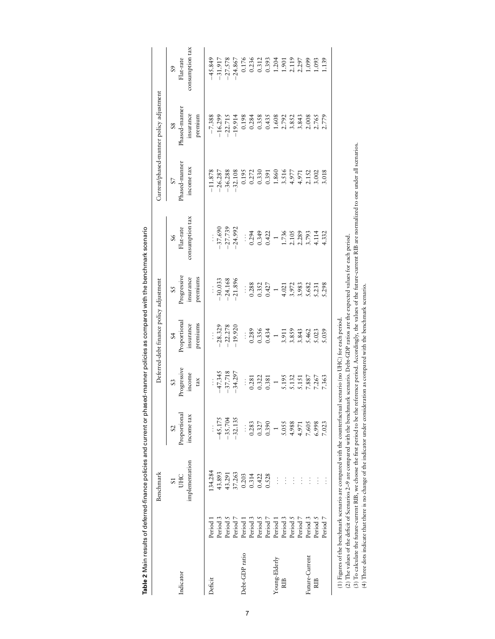|                       |                                                         | Benchmark                                                                                                                                                                                                                                                                                                                                                                                                                                                                            |                                             |                                                     | Deferred-debt finance policy adjustment                 |                                            |                                                                                                                |                                   | Current/phased-manner policy adjustment                          |                                               |
|-----------------------|---------------------------------------------------------|--------------------------------------------------------------------------------------------------------------------------------------------------------------------------------------------------------------------------------------------------------------------------------------------------------------------------------------------------------------------------------------------------------------------------------------------------------------------------------------|---------------------------------------------|-----------------------------------------------------|---------------------------------------------------------|--------------------------------------------|----------------------------------------------------------------------------------------------------------------|-----------------------------------|------------------------------------------------------------------|-----------------------------------------------|
| Indicator             |                                                         | implementation<br><b>UHC</b><br>S <sub>1</sub>                                                                                                                                                                                                                                                                                                                                                                                                                                       | Proportional<br>income tax<br>$\mathcal{S}$ | Progressive<br>income<br>tax<br>$\mathfrak{S}$      | Proportional<br>premiums<br>insurance<br>$\overline{5}$ | Progressive<br>premiums<br>insurance<br>SS | consumption tax<br>Flat-rate<br>$\mathcal{S}$                                                                  | Phased-manner<br>income tax<br>S7 | Phased-manner<br>insurance<br>premium<br>$\overline{\textbf{S}}$ | consumption tax<br>Flat-rate<br>$\mathcal{S}$ |
| Deficit               | Period 3<br>Period 1                                    | 134.284<br>43.893                                                                                                                                                                                                                                                                                                                                                                                                                                                                    | $-45.175$                                   | $-47.345$<br>$\vdots$                               | $-28.329$<br>$\vdots$                                   | $-30.033$                                  | $-37.690$                                                                                                      | $-11.878$<br>$-26.287$            | $-16.299$<br>$-7.388$                                            | $-45.849$<br>$-31.917$                        |
|                       | Period 7<br>Period 5                                    | 37.263<br>43.291                                                                                                                                                                                                                                                                                                                                                                                                                                                                     | $-32.135$<br>$-35.704$                      | $-37.718$<br>$-34.297$                              | $-22.278$<br>$-19.920$                                  | $-24.168$<br>$-21.896$                     | $-27.739$<br>$-24.992$                                                                                         | $-36.288$<br>$-32.108$            | $-19.914$<br>$-22.715$                                           | $-27.578$<br>$-24.867$                        |
| Debt-GDP ratio        | Period 3<br>Period 1                                    | 0.203<br>0.314                                                                                                                                                                                                                                                                                                                                                                                                                                                                       |                                             | $\vdots$                                            | $\vdots$                                                |                                            |                                                                                                                | 0.195                             | 0.198                                                            | 0.176                                         |
|                       | Period 5<br>Period 7                                    | 0.528<br>0.422                                                                                                                                                                                                                                                                                                                                                                                                                                                                       | 0.390<br>0.283<br>0.327                     | 0.322<br>0.281<br>0.381                             | 0.289<br>0.356<br>0.434                                 | 0.288<br>0.352<br>0.427                    | 0.294<br>0.349<br>0.422                                                                                        | 0.272<br>0.391                    | 0.284<br>0.358<br>0.435                                          | 0.236<br>0.312<br>0.393                       |
| Young-Elderly<br>RIB  | Period 5<br>Period 3<br>Period <sub>7</sub><br>Period 1 | $\vdots$<br>$\vdots$<br>$\vdots$                                                                                                                                                                                                                                                                                                                                                                                                                                                     | 5.055<br>4.988<br>4.971                     | 5.195<br>5.132<br>5.151<br>$\overline{\phantom{0}}$ | 3.859<br>3.843<br>3.911<br>$\overline{a}$               | 3.972<br>4.021<br>$\overline{a}$           | 1.736<br>2.105<br>$\overline{1}$                                                                               | 3.516<br>1.860<br>4.977<br>4.971  | 3.843<br>1.608<br>3.852<br>2.792                                 | 2.119<br>1.204<br>2.297<br>1.901              |
| Future-Current<br>RIB | Period 7<br>Period 3<br>Period 5                        | $\vdots$<br>$\vdots$                                                                                                                                                                                                                                                                                                                                                                                                                                                                 | 6.998<br>7.605<br>7.023                     | 7.887<br>7.267<br>7.363                             | 5.462<br>5.039<br>5.023                                 | 5.298<br>5.682<br>5.231                    | 3.793<br>4.114<br>4.332                                                                                        | 3.018<br>2.152<br>3.002           | 2.008<br>2.765<br>2.779                                          | 1.099<br>1.139<br>1.093                       |
|                       |                                                         | (2) The values of the deficit of Scenarios 2–9 are compared with the benchmark scenario. Debt-GDP ratios are the expected values for each period.<br>(4) Three dots indicate that there is no change of the indicator under consideration as compared with the benchmark scenario.<br>(1) Figures of the benchmark scenario are compared with the counterfactual scenario (no UHC) for each period.<br>(3) To calculate the future-current RIB, we choose the first period to be the |                                             |                                                     |                                                         |                                            | reference period. Accordingly, the values of the future-current RIB are normalized to one under all scenarios. |                                   |                                                                  |                                               |

Table 2 Main results of deferred-finance policies and current or phased-manner policies as compared with the benchmark scenario Table 2 Main results of deferred-finance policies and current or phased-manner policies as compared with the benchmark scenario

7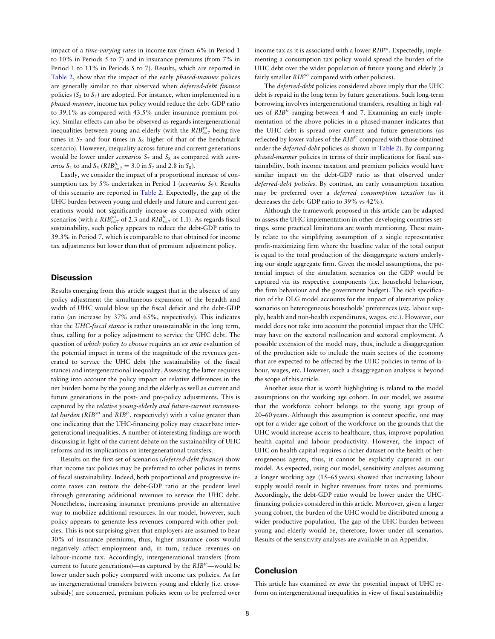impact of a time-varying rates in income tax (from 6% in Period 1 to 10% in Periods 5 to 7) and in insurance premiums (from 7% in Period 1 to 11% in Periods 5 to 7). Results, which are reported in Table 2, show that the impact of the early phased-manner polices are generally similar to that observed when deferred-debt finance policies ( $S_2$  to  $S_5$ ) are adopted. For instance, when implemented in a phased-manner, income tax policy would reduce the debt-GDP ratio to 39.1% as compared with 43.5% under insurance premium policy. Similar effects can also be observed as regards intergenerational inequalities between young and elderly (with the  $RIB_{t=7}^{y_0}$  being five times in  $S_7$  and four times in  $S_8$  higher of that of the benchmark scenario). However, inequality across future and current generations would be lower under scenarios  $S_7$  and  $S_8$  as compared with scen*arios*  $S_2$  to and  $S_5$  ( $RIB_{t=7}^{fc} = 3.0$  in  $S_7$  and 2.8 in  $S_8$ ).

Lastly, we consider the impact of a proportional increase of consumption tax by 5% undertaken in Period 1 (scenarios  $S_9$ ). Results of this scenario are reported in Table 2. Expectedly, the gap of the UHC burden between young and elderly and future and current generations would not significantly increase as compared with other scenarios (with a  $RIB_{t=7}^{y_0}$  of 2.3 and  $RIB_{t=7}^{fc}$  of 1.1). As regards fiscal sustainability, such policy appears to reduce the debt-GDP ratio to 39.3% in Period 7, which is comparable to that obtained for income tax adjustments but lower than that of premium adjustment policy.

## **Discussion**

Results emerging from this article suggest that in the absence of any policy adjustment the simultaneous expansion of the breadth and width of UHC would blow up the fiscal deficit and the debt-GDP ratio (an increase by 37% and 65%, respectively). This indicates that the UHC-fiscal stance is rather unsustainable in the long term, thus, calling for a policy adjustment to service the UHC debt. The question of which policy to choose requires an ex ante evaluation of the potential impact in terms of the magnitude of the revenues generated to service the UHC debt (the sustainability of the fiscal stance) and intergenerational inequality. Assessing the latter requires taking into account the policy impact on relative differences in the net burden borne by the young and the elderly as well as current and future generations in the post- and pre-policy adjustments. This is captured by the relative young-elderly and future-current incremental burden (RIB<sup>yo</sup> and RIB<sup>fc</sup>, respectively) with a value greater than one indicating that the UHC-financing policy may exacerbate intergenerational inequalities. A number of interesting findings are worth discussing in light of the current debate on the sustainability of UHC reforms and its implications on intergenerational transfers.

Results on the first set of scenarios (deferred-debt finance) show that income tax policies may be preferred to other policies in terms of fiscal sustainability. Indeed, both proportional and progressive income taxes can restore the debt-GDP ratio at the prudent level through generating additional revenues to service the UHC debt. Nonetheless, increasing insurance premiums provide an alternative way to mobilize additional resources. In our model, however, such policy appears to generate less revenues compared with other policies. This is not surprising given that employers are assumed to bear 30% of insurance premiums, thus, higher insurance costs would negatively affect employment and, in turn, reduce revenues on labour-income tax. Accordingly, intergenerational transfers (from current to future generations)—as captured by the  $RIB<sup>tc</sup>$ —would be lower under such policy compared with income tax policies. As far as intergenerational transfers between young and elderly (i.e. crosssubsidy) are concerned, premium policies seem to be preferred over

income tax as it is associated with a lower  $RIB^{y_0}$ . Expectedly, implementing a consumption tax policy would spread the burden of the UHC debt over the wider population of future young and elderly (a fairly smaller RIB<sup>yo</sup> compared with other policies).

The deferred-debt policies considered above imply that the UHC debt is repaid in the long term by future generations. Such long-term borrowing involves intergenerational transfers, resulting in high values of  $RIB^{fc}$  ranging between 4 and 7. Examining an early implementation of the above policies in a phased-manner indicates that the UHC debt is spread over current and future generations (as reflected by lower values of the  $RIB<sup>fc</sup>$  compared with those obtained under the deferred-debt policies as shown in Table 2). By comparing phased-manner policies in terms of their implications for fiscal sustainability, both income taxation and premium policies would have similar impact on the debt-GDP ratio as that observed under deferred-debt policies. By contrast, an early consumption taxation may be preferred over a deferred consumption taxation (as it decreases the debt-GDP ratio to 39% vs 42%).

Although the framework proposed in this article can be adapted to assess the UHC implementation in other developing countries settings, some practical limitations are worth mentioning. These mainly relate to the simplifying assumption of a single representative profit-maximizing firm where the baseline value of the total output is equal to the total production of the disaggregate sectors underlying our single aggregate firm. Given the model assumptions, the potential impact of the simulation scenarios on the GDP would be captured via its respective components (i.e. household behaviour, the firm behaviour and the government budget). The rich specification of the OLG model accounts for the impact of alternative policy scenarios on heterogeneous households' preferences (viz. labour supply, health and non-health expenditures, wages, etc.). However, our model does not take into account the potential impact that the UHC may have on the sectoral reallocation and sectoral employment. A possible extension of the model may, thus, include a disaggregation of the production side to include the main sectors of the economy that are expected to be affected by the UHC policies in terms of labour, wages, etc. However, such a disaggregation analysis is beyond the scope of this article.

Another issue that is worth highlighting is related to the model assumptions on the working age cohort. In our model, we assume that the workforce cohort belongs to the young age group of 20–60 years. Although this assumption is context specific, one may opt for a wider age cohort of the workforce on the grounds that the UHC would increase access to healthcare, thus, improve population health capital and labour productivity. However, the impact of UHC on health capital requires a richer dataset on the health of heterogeneous agents, thus, it cannot be explicitly captured in our model. As expected, using our model, sensitivity analyses assuming a longer working age (15–65 years) showed that increasing labour supply would result in higher revenues from taxes and premiums. Accordingly, the debt-GDP ratio would be lower under the UHCfinancing policies considered in this article. Moreover, given a larger young cohort, the burden of the UHC would be distributed among a wider productive population. The gap of the UHC burden between young and elderly would be, therefore, lower under all scenarios. Results of the sensitivity analyses are available in an Appendix.

## Conclusion

This article has examined *ex ante* the potential impact of UHC reform on intergenerational inequalities in view of fiscal sustainability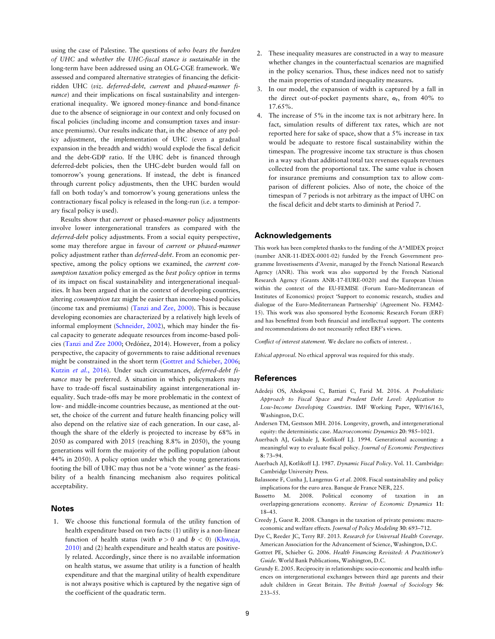using the case of Palestine. The questions of who bears the burden of UHC and whether the UHC-fiscal stance is sustainable in the long-term have been addressed using an OLG-CGE framework. We assessed and compared alternative strategies of financing the deficitridden UHC (viz. deferred-debt, current and phased-manner finance) and their implications on fiscal sustainability and intergenerational inequality. We ignored money-finance and bond-finance due to the absence of seigniorage in our context and only focused on fiscal policies (including income and consumption taxes and insurance premiums). Our results indicate that, in the absence of any policy adjustment, the implementation of UHC (even a gradual expansion in the breadth and width) would explode the fiscal deficit and the debt-GDP ratio. If the UHC debt is financed through deferred-debt policies, then the UHC-debt burden would fall on tomorrow's young generations. If instead, the debt is financed through current policy adjustments, then the UHC burden would fall on both today's and tomorrow's young generations unless the contractionary fiscal policy is released in the long-run (i.e. a temporary fiscal policy is used).

Results show that current or phased-manner policy adjustments involve lower intergenerational transfers as compared with the deferred-debt policy adjustments. From a social equity perspective, some may therefore argue in favour of current or phased-manner policy adjustment rather than deferred-debt. From an economic perspective, among the policy options we examined, the current consumption taxation policy emerged as the *best policy option* in terms of its impact on fiscal sustainability and intergenerational inequalities. It has been argued that in the context of developing countries, altering consumption tax might be easier than income-based policies (income tax and premiums) (Tanzi and Zee, 2000). This is because developing economies are characterized by a relatively high levels of informal employment (Schneider, 2002), which may hinder the fiscal capacity to generate adequate resources from income-based policies (Tanzi and Zee 2000; Ordóñez, 2014). However, from a policy perspective, the capacity of governments to raise additional revenues might be constrained in the short term (Gottret and Schieber, 2006; Kutzin et al., 2016). Under such circumstances, deferred-debt finance may be preferred. A situation in which policymakers may have to trade-off fiscal sustainability against intergenerational inequality. Such trade-offs may be more problematic in the context of low- and middle-income countries because, as mentioned at the outset, the choice of the current and future health financing policy will also depend on the relative size of each generation. In our case, although the share of the elderly is projected to increase by 68% in 2050 as compared with 2015 (reaching 8.8% in 2050), the young generations will form the majority of the polling population (about 44% in 2050). A policy option under which the young generations footing the bill of UHC may thus not be a 'vote winner' as the feasibility of a health financing mechanism also requires political acceptability.

## **Notes**

1. We choose this functional formula of the utility function of health expenditure based on two facts: (1) utility is a non-linear function of health status (with  $v > 0$  and  $b < 0$ ) (Khwaja, 2010) and (2) health expenditure and health status are positively related. Accordingly, since there is no available information on health status, we assume that utility is a function of health expenditure and that the marginal utility of health expenditure is not always positive which is captured by the negative sign of the coefficient of the quadratic term.

- 2. These inequality measures are constructed in a way to measure whether changes in the counterfactual scenarios are magnified in the policy scenarios. Thus, these indices need not to satisfy the main properties of standard inequality measures.
- In our model, the expansion of width is captured by a fall in the direct out-of-pocket payments share,  $o_t$ , from 40% to 17.65%.
- 4. The increase of 5% in the income tax is not arbitrary here. In fact, simulation results of different tax rates, which are not reported here for sake of space, show that a 5% increase in tax would be adequate to restore fiscal sustainability within the timespan. The progressive income tax structure is thus chosen in a way such that additional total tax revenues equals revenues collected from the proportional tax. The same value is chosen for insurance premiums and consumption tax to allow comparison of different policies. Also of note, the choice of the timespan of 7 periods is not arbitrary as the impact of UHC on the fiscal deficit and debt starts to diminish at Period 7.

#### Acknowledgements

This work has been completed thanks to the funding of the A\*MIDEX project (number ANR-11-IDEX-0001-02) funded by the French Government programme Investissements d'Avenir, managed by the French National Research Agency (ANR). This work was also supported by the French National Research Agency (Grants ANR-17-EURE-0020) and the European Union within the context of the EU-FEMISE (Forum Euro-Mediterranean of Institutes of Economics) project 'Support to economic research, studies and dialogue of the Euro-Mediterranean Partnership' (Agreement No. FEM42- 15). This work was also sponsored bythe Economic Research Forum (ERF) and has benefitted from both financial and intellectual support. The contents and recommendations do not necessarily reflect ERF's views.

Conflict of interest statement. We declare no coflicts of interest. .

Ethical approval. No ethical approval was required for this study.

#### References

- Adedeji OS, Ahokpossi C, Battiati C, Farid M. 2016. A Probabilistic Approach to Fiscal Space and Prudent Debt Level: Application to Low-Income Developing Countries. IMF Working Paper, WP/16/163, Washington, D.C.
- Andersen TM, Gestsson MH. 2016. Longevity, growth, and intergenerational equity: the deterministic case. Macroeconomic Dynamics 20: 985–1021.
- Auerbach AJ, Gokhale J, Kotlikoff LJ. 1994. Generational accounting: a meaningful way to evaluate fiscal policy. Journal of Economic Perspectives 8: 73–94.
- Auerbach AJ, Kotlikoff LJ. 1987. Dynamic Fiscal Policy. Vol. 11. Cambridge: Cambridge University Press.
- Balassone F, Cunha J, Langenus G et al. 2008. Fiscal sustainability and policy implications for the euro area. Banque de France NER, 225.
- Bassetto M. 2008. Political economy of taxation in overlapping-generations economy. Review of Economic Dynamics 11: 18–43.
- Creedy J, Guest R. 2008. Changes in the taxation of private pensions: macroeconomic and welfare effects. Journal of Policy Modeling 30: 693–712.
- Dye C, Reeder JC, Terry RF. 2013. Research for Universal Health Coverage. American Association for the Advancement of Science, Washington, D.C.
- Gottret PE, Schieber G. 2006. Health Financing Revisited: A Practitioner's Guide. World Bank Publications, Washington, D.C.
- Grundy E. 2005. Reciprocity in relationships: socio-economic and health influences on intergenerational exchanges between third age parents and their adult children in Great Britain. The British Journal of Sociology 56: 233–55.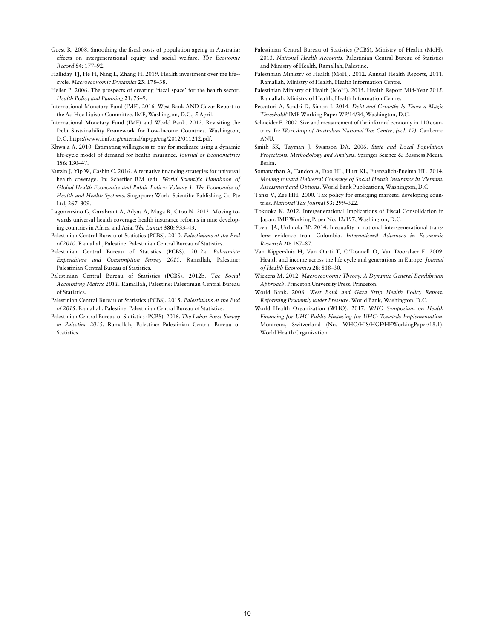- Guest R. 2008. Smoothing the fiscal costs of population ageing in Australia: effects on intergenerational equity and social welfare. The Economic Record 84: 177–92.
- Halliday TJ, He H, Ning L, Zhang H. 2019. Health investment over the life- cycle. Macroeconomic Dynamics 23: 178–38.
- Heller P. 2006. The prospects of creating 'fiscal space' for the health sector. Health Policy and Planning 21: 75–9.
- International Monetary Fund (IMF). 2016. West Bank AND Gaza: Report to the Ad Hoc Liaison Committee. IMF, Washington, D.C., 5 April.
- International Monetary Fund (IMF) and World Bank. 2012. Revisiting the Debt Sustainability Framework for Low-Income Countries. Washington, D.C. https://www.imf.org/external/np/pp/eng/2012/011212.pdf.
- Khwaja A. 2010. Estimating willingness to pay for medicare using a dynamic life-cycle model of demand for health insurance. Journal of Econometrics 156: 130–47.
- Kutzin J, Yip W, Cashin C. 2016. Alternative financing strategies for universal health coverage. In: Scheffler RM (ed). World Scientific Handbook of Global Health Economics and Public Policy: Volume 1: The Economics of Health and Health Systems. Singapore: World Scientific Publishing Co Pte Ltd, 267–309.
- Lagomarsino G, Garabrant A, Adyas A, Muga R, Otoo N. 2012. Moving towards universal health coverage: health insurance reforms in nine developing countries in Africa and Asia. The Lancet 380: 933–43.
- Palestinian Central Bureau of Statistics (PCBS). 2010. Palestinians at the End of 2010. Ramallah, Palestine: Palestinian Central Bureau of Statistics.
- Palestinian Central Bureau of Statistics (PCBS). 2012a. Palestinian Expenditure and Consumption Survey 2011. Ramallah, Palestine: Palestinian Central Bureau of Statistics.
- Palestinian Central Bureau of Statistics (PCBS). 2012b. The Social Accounting Matrix 2011. Ramallah, Palestine: Palestinian Central Bureau of Statistics.
- Palestinian Central Bureau of Statistics (PCBS). 2015. Palestinians at the End of 2015. Ramallah, Palestine: Palestinian Central Bureau of Statistics.
- Palestinian Central Bureau of Statistics (PCBS). 2016. The Labor Force Survey in Palestine 2015. Ramallah, Palestine: Palestinian Central Bureau of **Statistics**
- Palestinian Central Bureau of Statistics (PCBS), Ministry of Health (MoH). 2013. National Health Accounts. Palestinian Central Bureau of Statistics and Ministry of Health, Ramallah, Palestine.
- Palestinian Ministry of Health (MoH). 2012. Annual Health Reports, 2011. Ramallah, Ministry of Health, Health Information Centre.
- Palestinian Ministry of Health (MoH). 2015. Health Report Mid-Year 2015. Ramallah, Ministry of Health, Health Information Centre.
- Pescatori A, Sandri D, Simon J. 2014. Debt and Growth: Is There a Magic Threshold? IMF Working Paper WP/14/34, Washington, D.C.
- Schneider F. 2002. Size and measurement of the informal economy in 110 countries. In: Workshop of Australian National Tax Centre, (vol. 17). Canberra: ANU.
- Smith SK, Tayman J, Swanson DA. 2006. State and Local Population Projections: Methodology and Analysis. Springer Science & Business Media, Berlin.
- Somanathan A, Tandon A, Dao HL, Hurt KL, Fuenzalida-Puelma HL. 2014. Moving toward Universal Coverage of Social Health Insurance in Vietnam: Assessment and Options. World Bank Publications, Washington, D.C.
- Tanzi V, Zee HH. 2000. Tax policy for emerging markets: developing countries. National Tax Journal 53: 299–322.
- Tokuoka K. 2012. Intergenerational Implications of Fiscal Consolidation in Japan. IMF Working Paper No. 12/197, Washington, D.C.
- Tovar JA, Urdinola BP. 2014. Inequality in national inter-generational transfers: evidence from Colombia. International Advances in Economic Research 20: 167–87.
- Van Kippersluis H, Van Ourti T, O'Donnell O, Van Doorslaer E. 2009. Health and income across the life cycle and generations in Europe. Journal of Health Economics 28: 818–30.
- Wickens M. 2012. Macroeconomic Theory: A Dynamic General Equilibrium Approach. Princeton University Press, Princeton.
- World Bank. 2008. West Bank and Gaza Strip Health Policy Report: Reforming Prudently under Pressure. World Bank, Washington, D.C.
- World Health Organization (WHO). 2017. WHO Symposium on Health Financing for UHC Public Financing for UHC: Towards Implementation. Montreux, Switzerland (No. WHO/HIS/HGF/HFWorkingPaper/18.1). World Health Organization.